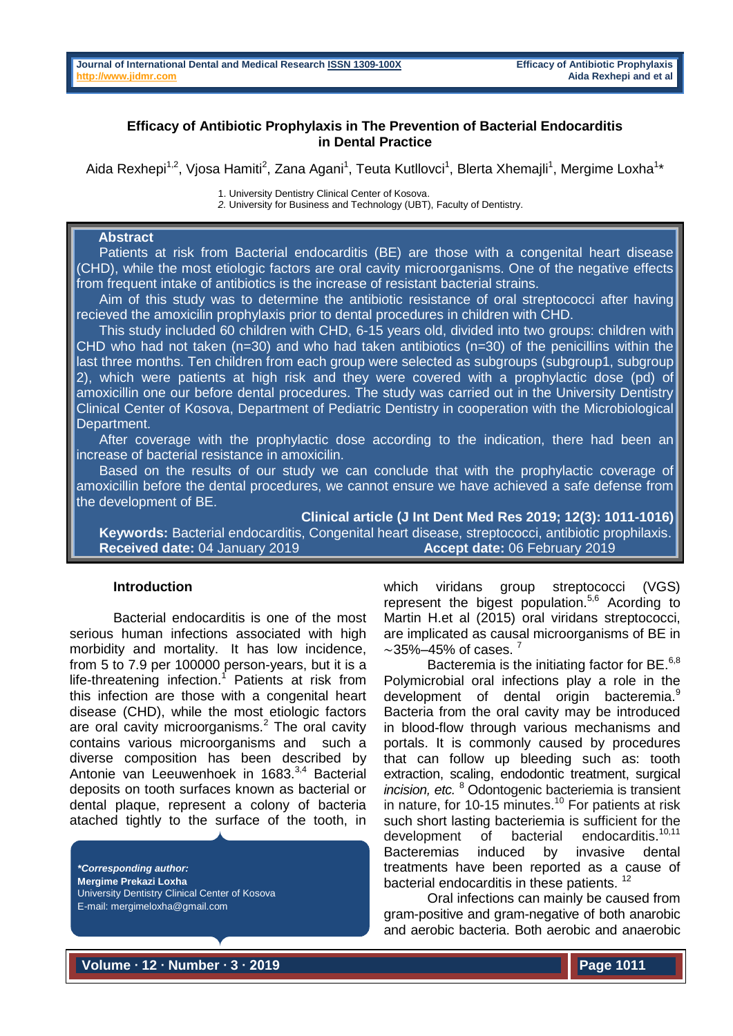# **Efficacy of Antibiotic Prophylaxis in The Prevention of Bacterial Endocarditis in Dental Practice**

Aida Rexhepi<sup>1,2</sup>, Vjosa Hamiti<sup>2</sup>, Zana Agani<sup>1</sup>, Teuta Kutllovci<sup>1</sup>, Blerta Xhemajli<sup>1</sup>, Mergime Loxha<sup>1</sup>\*

1. University Dentistry Clinical Center of Kosova.

*2.* University for Business and Technology (UBT), Faculty of Dentistry.

# **Abstract**

 Patients at risk from Bacterial endocarditis (BE) are those with a congenital heart disease (CHD), while the most etiologic factors are oral cavity microorganisms. One of the negative effects from frequent intake of antibiotics is the increase of resistant bacterial strains.

 Aim of this study was to determine the antibiotic resistance of oral streptococci after having recieved the amoxicilin prophylaxis prior to dental procedures in children with CHD.

 This study included 60 children with CHD, 6-15 years old, divided into two groups: children with CHD who had not taken  $(n=30)$  and who had taken antibiotics  $(n=30)$  of the penicillins within the last three months. Ten children from each group were selected as subgroups (subgroup1, subgroup 2), which were patients at high risk and they were covered with a prophylactic dose (pd) of amoxicillin one our before dental procedures. The study was carried out in the University Dentistry Clinical Center of Kosova, Department of Pediatric Dentistry in cooperation with the Microbiological Department.

 After coverage with the prophylactic dose according to the indication, there had been an increase of bacterial resistance in amoxicilin.

Based on the results of our study we can conclude that with the prophylactic coverage of amoxicillin before the dental procedures, we cannot ensure we have achieved a safe defense from the development of BE.

**Clinical article (J Int Dent Med Res 2019; 12(3): 1011-1016)** 

 **Keywords:** Bacterial endocarditis, Congenital heart disease, streptococci, antibiotic prophilaxis. **Received date:** 04 January 2019 **Accept date:** 06 February 2019

## **Introduction**

Bacterial endocarditis is one of the most serious human infections associated with high morbidity and mortality. It has low incidence, from 5 to 7.9 per 100000 person-years, but it is a life-threatening infection.<sup>1</sup> Patients at risk from this infection are those with a congenital heart disease (CHD), while the most etiologic factors are oral cavity microorganisms.<sup>2</sup> The oral cavity contains various microorganisms and such a diverse composition has been described by Antonie van Leeuwenhoek in 1683.<sup>3,4</sup> Bacterial deposits on tooth surfaces known as bacterial or dental plaque, represent a colony of bacteria atached tightly to the surface of the tooth, in

*\*Corresponding author:* **Mergime Prekazi Loxha** University Dentistry Clinical Center of Kosova E-mail: mergimeloxha@gmail.com

which viridans group streptococci (VGS) represent the bigest population.<sup>5,6</sup> Acording to Martin H.et al (2015) oral viridans streptococci, are implicated as causal microorganisms of BE in  $\sim$ 35%–45% of cases.

Bacteremia is the initiating factor for BE. $6,8$ Polymicrobial oral infections play a role in the development of dental origin bacteremia.<sup>9</sup> Bacteria from the oral cavity may be introduced in blood-flow through various mechanisms and portals. It is commonly caused by procedures that can follow up bleeding such as: tooth extraction, scaling, endodontic treatment, surgical *incision, etc.* <sup>8</sup> Odontogenic bacteriemia is transient in nature, for 10-15 minutes.<sup>10</sup> For patients at risk such short lasting bacteriemia is sufficient for the development of bacterial endocarditis.<sup>10,11</sup> Bacteremias induced by invasive dental treatments have been reported as a cause of bacterial endocarditis in these patients.<sup>12</sup>

Oral infections can mainly be caused from gram-positive and gram-negative of both anarobic and aerobic bacteria. Both aerobic and anaerobic

**Volume ∙ 12 ∙ Number ∙ 3 ∙ 2019**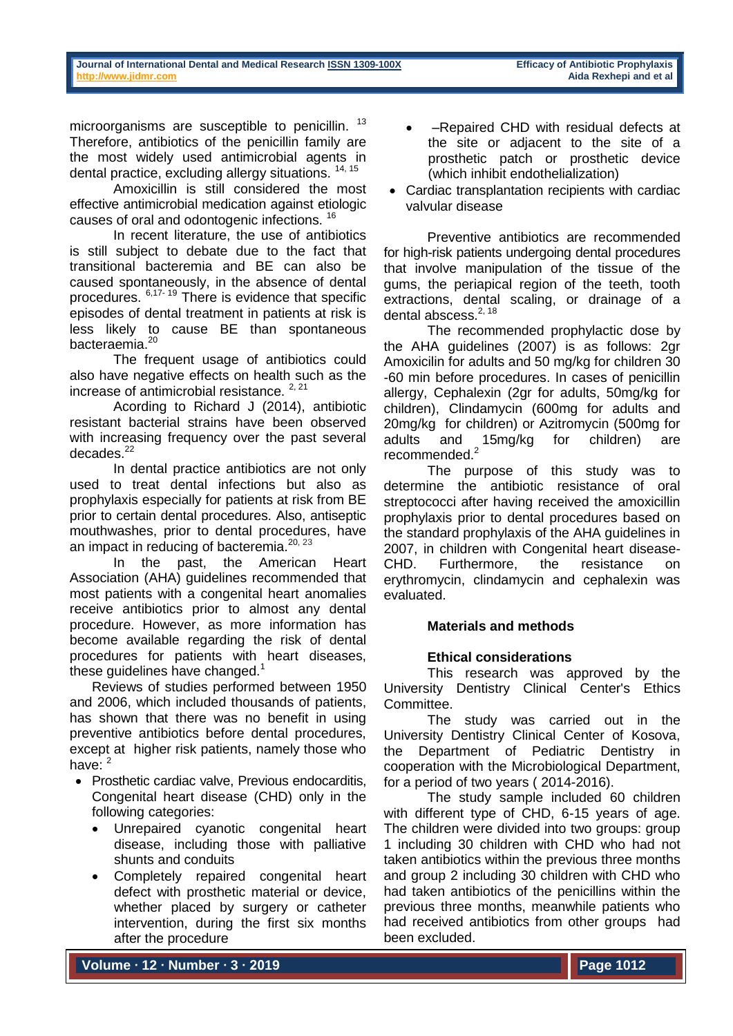microorganisms are susceptible to penicillin. <sup>13</sup> Therefore, antibiotics of the penicillin family are the most widely used antimicrobial agents in dental practice, excluding allergy situations. 14, 15

Amoxicillin is still considered the most effective antimicrobial medication against etiologic causes of oral and odontogenic infections. <sup>16</sup>

In recent literature, the use of antibiotics is still subject to debate due to the fact that transitional bacteremia and BE can also be caused spontaneously, in the absence of dental procedures. 6,17- <sup>19</sup> There is evidence that specific episodes of dental treatment in patients at risk is less likely to cause BE than spontaneous bacteraemia.<sup>20</sup>

The frequent usage of antibiotics could also have negative effects on health such as the increase of antimicrobial resistance.  $2,21$ 

Acording to Richard J (2014), antibiotic resistant bacterial strains have been observed with increasing frequency over the past several decades.<sup>22</sup>

In dental practice antibiotics are not only used to treat dental infections but also as prophylaxis especially for patients at risk from BE prior to certain dental procedures. Also, antiseptic mouthwashes, prior to dental procedures, have an impact in reducing of bacteremia.<sup>20, 23</sup>

In the past, the American Heart Association (AHA) guidelines recommended that most patients with a congenital heart anomalies receive antibiotics prior to almost any dental procedure. However, as more information has become available regarding the risk of dental procedures for patients with heart diseases, these guidelines have changed.<sup>1</sup>

Reviews of studies performed between 1950 and 2006, which included thousands of patients, has shown that there was no benefit in using preventive antibiotics before dental procedures, except at higher risk patients, namely those who have:  $2$ 

- Prosthetic cardiac valve, Previous endocarditis, Congenital heart disease (CHD) only in the following categories:
	- Unrepaired cyanotic congenital heart disease, including those with palliative shunts and conduits
	- Completely repaired congenital heart defect with prosthetic material or device, whether placed by surgery or catheter intervention, during the first six months after the procedure
- –Repaired CHD with residual defects at the site or adjacent to the site of a prosthetic patch or prosthetic device (which inhibit endothelialization)
- Cardiac transplantation recipients with cardiac valvular disease

Preventive antibiotics are recommended for high-risk patients undergoing dental procedures that involve manipulation of the tissue of the gums, the periapical region of the teeth, tooth extractions, dental scaling, or drainage of a dental abscess.<sup>2, 18</sup>

The recommended prophylactic dose by the AHA guidelines (2007) is as follows: 2gr Amoxicilin for adults and 50 mg/kg for children 30 -60 min before procedures. In cases of penicillin allergy, Cephalexin (2gr for adults, 50mg/kg for children), Clindamycin (600mg for adults and 20mg/kg for children) or Azitromycin (500mg for adults and 15mg/kg for children) are recommended.<sup>2</sup>

The purpose of this study was to determine the antibiotic resistance of oral streptococci after having received the amoxicillin prophylaxis prior to dental procedures based on the standard prophylaxis of the AHA guidelines in 2007, in children with Congenital heart disease-CHD. Furthermore, the resistance on erythromycin, clindamycin and cephalexin was evaluated.

# **Materials and methods**

# **Ethical considerations**

This research was approved by the University Dentistry Clinical Center's Ethics Committee.

The study was carried out in the University Dentistry Clinical Center of Kosova, the Department of Pediatric Dentistry in cooperation with the Microbiological Department, for a period of two years ( 2014-2016).

The study sample included 60 children with different type of CHD, 6-15 years of age. The children were divided into two groups: group 1 including 30 children with CHD who had not taken antibiotics within the previous three months and group 2 including 30 children with CHD who had taken antibiotics of the penicillins within the previous three months, meanwhile patients who had received antibiotics from other groups had been excluded.

**Volume ∙ 12 ∙ Number ∙ 3 ∙ 2019**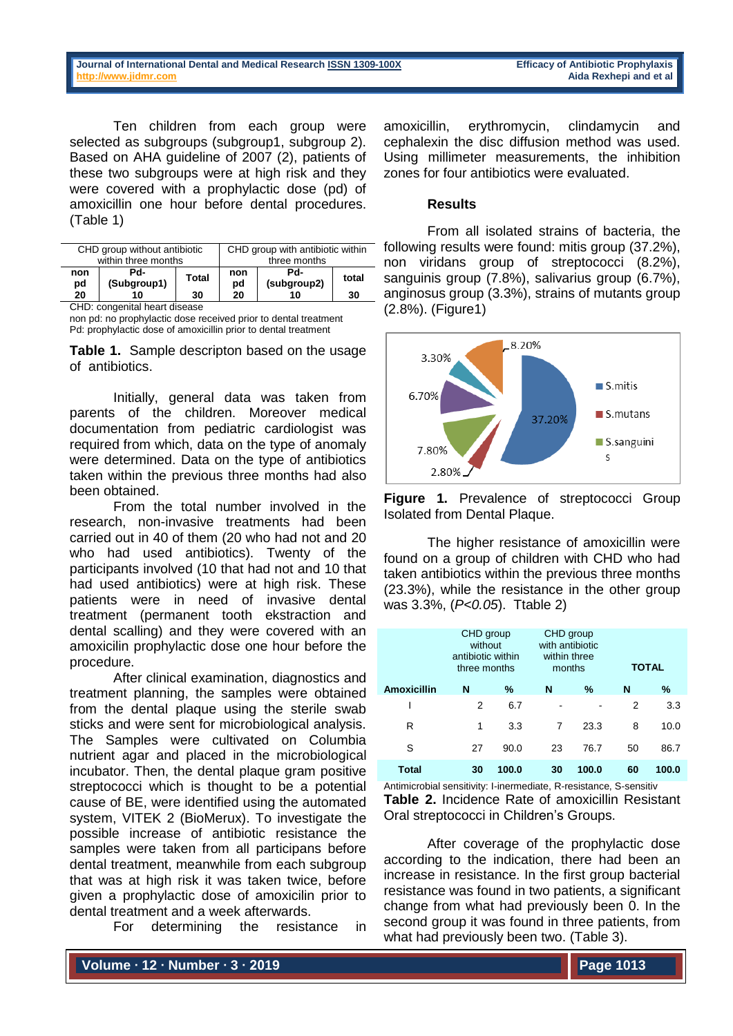Ten children from each group were selected as subgroups (subgroup1, subgroup 2). Based on AHA guideline of 2007 (2), patients of these two subgroups were at high risk and they were covered with a prophylactic dose (pd) of amoxicillin one hour before dental procedures. (Table 1)

| CHD group without antibiotic |                    |                    | CHD group with antibiotic within |                          |             |
|------------------------------|--------------------|--------------------|----------------------------------|--------------------------|-------------|
| within three months          |                    |                    | three months                     |                          |             |
| non<br>pd<br>20              | Pd-<br>(Subgroup1) | <b>Total</b><br>30 | non<br>pd<br>20                  | Pd-<br>(subgroup2)<br>10 | total<br>30 |

CHD: congenital heart disease

non pd: no prophylactic dose received prior to dental treatment Pd: prophylactic dose of amoxicillin prior to dental treatment

**Table 1.** Sample descripton based on the usage of antibiotics.

Initially, general data was taken from parents of the children. Moreover medical documentation from pediatric cardiologist was required from which, data on the type of anomaly were determined. Data on the type of antibiotics taken within the previous three months had also been obtained.

From the total number involved in the research, non-invasive treatments had been carried out in 40 of them (20 who had not and 20 who had used antibiotics). Twenty of the participants involved (10 that had not and 10 that had used antibiotics) were at high risk. These patients were in need of invasive dental treatment (permanent tooth ekstraction and dental scalling) and they were covered with an amoxicilin prophylactic dose one hour before the procedure.

After clinical examination, diagnostics and treatment planning, the samples were obtained from the dental plaque using the sterile swab sticks and were sent for microbiological analysis. The Samples were cultivated on Columbia nutrient agar and placed in the microbiological incubator. Then, the dental plaque gram positive streptococci which is thought to be a potential cause of BE, were identified using the automated system, VITEK 2 (BioMerux). To investigate the possible increase of antibiotic resistance the samples were taken from all participans before dental treatment, meanwhile from each subgroup that was at high risk it was taken twice, before given a prophylactic dose of amoxicilin prior to dental treatment and a week afterwards.

For determining the resistance in

amoxicillin, erythromycin, clindamycin and cephalexin the disc diffusion method was used. Using millimeter measurements, the inhibition zones for four antibiotics were evaluated.

### **Results**

From all isolated strains of bacteria, the following results were found: mitis group (37.2%), non viridans group of streptococci (8.2%), sanguinis group (7.8%), salivarius group (6.7%), anginosus group (3.3%), strains of mutants group (2.8%). (Figure1)



**Figure 1.** Prevalence of streptococci Group Isolated from Dental Plaque.

The higher resistance of amoxicillin were found on a group of children with CHD who had taken antibiotics within the previous three months (23.3%), while the resistance in the other group was 3.3%, (*P<0.05*). Ttable 2)

|                    | CHD group<br>without<br>antibiotic within<br>three months |       | CHD group<br>with antibiotic<br>within three<br>months |       | <b>TOTAL</b> |       |
|--------------------|-----------------------------------------------------------|-------|--------------------------------------------------------|-------|--------------|-------|
| <b>Amoxicillin</b> | N                                                         | %     | N                                                      | $\%$  | N            | %     |
|                    | 2                                                         | 6.7   |                                                        |       | 2            | 3.3   |
| R                  | 1                                                         | 3.3   | 7                                                      | 23.3  | 8            | 10.0  |
| S                  | 27                                                        | 90.0  | 23                                                     | 76.7  | 50           | 86.7  |
| Total              | 30                                                        | 100.0 | 30                                                     | 100.0 | 60           | 100.0 |

Antimicrobial sensitivity: I-inermediate, R-resistance, S-sensitiv **Table 2.** Incidence Rate of amoxicillin Resistant Oral streptococci in Children's Groups.

After coverage of the prophylactic dose according to the indication, there had been an increase in resistance. In the first group bacterial resistance was found in two patients, a significant change from what had previously been 0. In the second group it was found in three patients, from what had previously been two. (Table 3).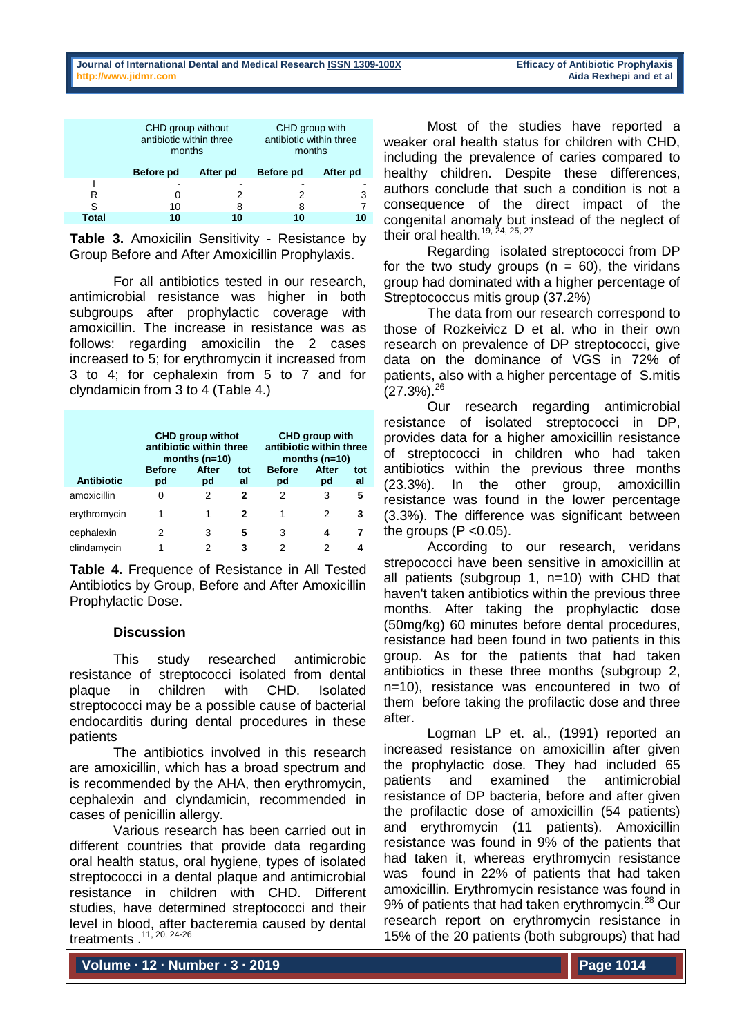|              | CHD group without<br>antibiotic within three<br>months |          | CHD group with<br>antibiotic within three<br>months |          |  |
|--------------|--------------------------------------------------------|----------|-----------------------------------------------------|----------|--|
|              | Before pd                                              | After pd | Before pd                                           | After pd |  |
|              |                                                        |          |                                                     |          |  |
| R            |                                                        |          |                                                     | 3        |  |
| S            | 10                                                     | 8        | 8                                                   | 7        |  |
| <b>Total</b> | 10                                                     | 10       | 10                                                  | 10       |  |

**Table 3.** Amoxicilin Sensitivity - Resistance by Group Before and After Amoxicillin Prophylaxis.

For all antibiotics tested in our research, antimicrobial resistance was higher in both subgroups after prophylactic coverage with amoxicillin. The increase in resistance was as follows: regarding amoxicilin the 2 cases increased to 5; for erythromycin it increased from 3 to 4; for cephalexin from 5 to 7 and for clyndamicin from 3 to 4 (Table 4.)

|                   | <b>CHD group withot</b><br>antibiotic within three<br>months $(n=10)$ |             |           | <b>CHD group with</b><br>antibiotic within three<br>months $(n=10)$ |             |           |
|-------------------|-----------------------------------------------------------------------|-------------|-----------|---------------------------------------------------------------------|-------------|-----------|
| <b>Antibiotic</b> | <b>Before</b><br>pd                                                   | After<br>pd | tot<br>al | <b>Before</b><br>pd                                                 | After<br>pd | tot<br>al |
| amoxicillin       | 0                                                                     | 2           | 2         | 2                                                                   | 3           | 5         |
| erythromycin      | 1                                                                     | 1           | 2         | 1                                                                   | 2           | 3         |
| cephalexin        | 2                                                                     | 3           | 5         | 3                                                                   | 4           |           |
| clindamycin       | 1                                                                     | 2           | 3         | 2                                                                   |             |           |

**Table 4.** Frequence of Resistance in All Tested Antibiotics by Group, Before and After Amoxicillin Prophylactic Dose.

## **Discussion**

This study researched antimicrobic resistance of streptococci isolated from dental plaque in children with CHD. Isolated streptococci may be a possible cause of bacterial endocarditis during dental procedures in these patients

The antibiotics involved in this research are amoxicillin, which has a broad spectrum and is recommended by the AHA, then erythromycin, cephalexin and clyndamicin, recommended in cases of penicillin allergy.

Various research has been carried out in different countries that provide data regarding oral health status, oral hygiene, types of isolated streptococci in a dental plaque and antimicrobial resistance in children with CHD. Different studies, have determined streptococci and their level in blood, after bacteremia caused by dental treatments .11, 20, 24-26

Most of the studies have reported a weaker oral health status for children with CHD, including the prevalence of caries compared to healthy children. Despite these differences, authors conclude that such a condition is not a consequence of the direct impact of the congenital anomaly but instead of the neglect of their oral health.<sup>19, 24, 25, 27</sup>

Regarding isolated streptococci from DP for the two study groups  $(n = 60)$ , the viridans group had dominated with a higher percentage of Streptococcus mitis group (37.2%)

The data from our research correspond to those of Rozkeivicz D et al. who in their own research on prevalence of DP streptococci, give data on the dominance of VGS in 72% of patients, also with a higher percentage of S.mitis  $(27.3\%)$ .  $^{26}$ 

Our research regarding antimicrobial resistance of isolated streptococci in DP, provides data for a higher amoxicillin resistance of streptococci in children who had taken antibiotics within the previous three months (23.3%). In the other group, amoxicillin resistance was found in the lower percentage (3.3%). The difference was significant between the groups  $(P \le 0.05)$ .

According to our research, veridans strepococci have been sensitive in amoxicillin at all patients (subgroup 1, n=10) with CHD that haven't taken antibiotics within the previous three months. After taking the prophylactic dose (50mg/kg) 60 minutes before dental procedures, resistance had been found in two patients in this group. As for the patients that had taken antibiotics in these three months (subgroup 2, n=10), resistance was encountered in two of them before taking the profilactic dose and three after.

Logman LP et. al., (1991) reported an increased resistance on amoxicillin after given the prophylactic dose. They had included 65 patients and examined the antimicrobial resistance of DP bacteria, before and after given the profilactic dose of amoxicillin (54 patients) and erythromycin (11 patients). Amoxicillin resistance was found in 9% of the patients that had taken it, whereas erythromycin resistance was found in 22% of patients that had taken amoxicillin. Erythromycin resistance was found in 9% of patients that had taken erythromycin.<sup>28</sup> Our research report on erythromycin resistance in 15% of the 20 patients (both subgroups) that had

**Volume ∙ 12 ∙ Number ∙ 3 ∙ 2019**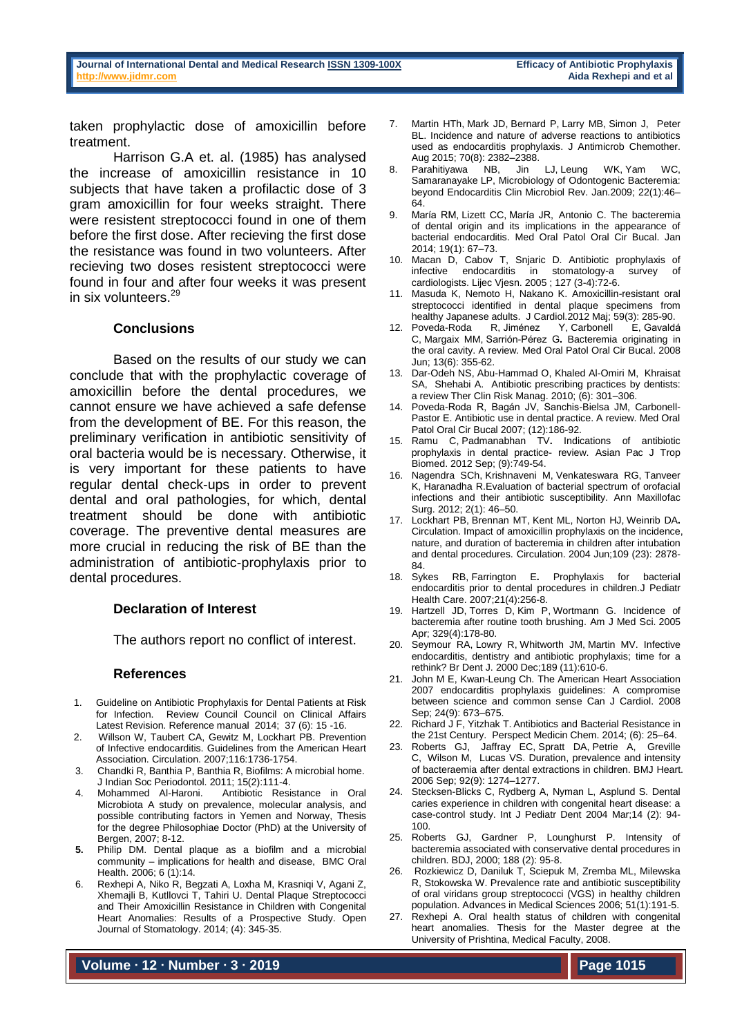taken prophylactic dose of amoxicillin before treatment.

Harrison G.A et. al. (1985) has analysed the increase of amoxicillin resistance in 10 subjects that have taken a profilactic dose of 3 gram amoxicillin for four weeks straight. There were resistent streptococci found in one of them before the first dose. After recieving the first dose the resistance was found in two volunteers. After recieving two doses resistent streptococci were found in four and after four weeks it was present in six volunteers.<sup>29</sup>

### **Conclusions**

Based on the results of our study we can conclude that with the prophylactic coverage of amoxicillin before the dental procedures, we cannot ensure we have achieved a safe defense from the development of BE. For this reason, the preliminary verification in antibiotic sensitivity of oral bacteria would be is necessary. Otherwise, it is very important for these patients to have regular dental check-ups in order to prevent dental and oral pathologies, for which, dental treatment should be done with antibiotic coverage. The preventive dental measures are more crucial in reducing the risk of BE than the administration of antibiotic-prophylaxis prior to dental procedures.

### **Declaration of Interest**

The authors report no conflict of interest.

### **References**

- 1. Guideline on Antibiotic Prophylaxis for Dental Patients at Risk for Infection. Review Council Council on Clinical Affairs Latest Revision. Reference manual 2014; 37 (6): 15 -16.
- 2. [Willson W, Taubert CA, Gewitz M, Lockhart PB. Prevention](https://www.ncbi.nlm.nih.gov/pubmed/?term=Chandki%20R%5BAuthor%5D&cauthor=true&cauthor_uid=21976832)  [of Infective endocarditis. Guidelines from the American Heart](https://www.ncbi.nlm.nih.gov/pubmed/?term=Chandki%20R%5BAuthor%5D&cauthor=true&cauthor_uid=21976832)  [Association. Circulation.](https://www.ncbi.nlm.nih.gov/pubmed/?term=Chandki%20R%5BAuthor%5D&cauthor=true&cauthor_uid=21976832) 2007;116:1736-1754.
- 3. [Chandki R,](https://www.ncbi.nlm.nih.gov/pubmed/?term=Chandki%20R%5BAuthor%5D&cauthor=true&cauthor_uid=21976832) [Banthia P,](https://www.ncbi.nlm.nih.gov/pubmed/?term=Banthia%20P%5BAuthor%5D&cauthor=true&cauthor_uid=21976832) [Banthia R,](https://www.ncbi.nlm.nih.gov/pubmed/?term=Banthia%20R%5BAuthor%5D&cauthor=true&cauthor_uid=21976832) Biofilms: A microbial home. [J Indian Soc Periodontol.](https://www.ncbi.nlm.nih.gov/pubmed/21976832) 2011; 15(2):111-4.
- 4. Mohammed Al-Haroni. Antibiotic Resistance in Oral Microbiota A study on prevalence, molecular analysis, and possible contributing factors in Yemen and Norway, Thesis for the degree Philosophiae Doctor (PhD) at the University of Bergen, 2007; 8-12.
- **5.** [Philip DM.](https://www.ncbi.nlm.nih.gov/pubmed/?term=Marsh%20PD%5BAuthor%5D&cauthor=true&cauthor_uid=16934115) Dental plaque as a biofilm and a microbial community – implications for health and disease, [BMC Oral](https://www.ncbi.nlm.nih.gov/pmc/articles/PMC2147593/)  [Health.](https://www.ncbi.nlm.nih.gov/pmc/articles/PMC2147593/) 2006; 6 (1):14.
- 6. Rexhepi A, Niko R, Begzati A, Loxha M, Krasniqi V, Agani Z, Xhemajli B, Kutllovci T, Tahiri U. Dental Plaque Streptococci and Their Amoxicillin Resistance in Children with Congenital Heart Anomalies: Results of a Prospective Study. Open Journal of Stomatology. 2014; (4): 345-35.
- 7. [Martin HTh,](https://www.ncbi.nlm.nih.gov/pubmed/?term=Thornhill%20MH%5BAuthor%5D&cauthor=true&cauthor_uid=25925595) [Mark JD,](https://www.ncbi.nlm.nih.gov/pubmed/?term=Dayer%20MJ%5BAuthor%5D&cauthor=true&cauthor_uid=25925595) [Bernard P,](https://www.ncbi.nlm.nih.gov/pubmed/?term=Prendergast%20B%5BAuthor%5D&cauthor=true&cauthor_uid=25925595) [Larry MB,](https://www.ncbi.nlm.nih.gov/pubmed/?term=Baddour%20LM%5BAuthor%5D&cauthor=true&cauthor_uid=25925595) [Simon J,](https://www.ncbi.nlm.nih.gov/pubmed/?term=Jones%20S%5BAuthor%5D&cauthor=true&cauthor_uid=25925595) [Peter](https://www.ncbi.nlm.nih.gov/pubmed/?term=Lockhart%20PB%5BAuthor%5D&cauthor=true&cauthor_uid=25925595)  [BL.](https://www.ncbi.nlm.nih.gov/pubmed/?term=Lockhart%20PB%5BAuthor%5D&cauthor=true&cauthor_uid=25925595) Incidence and nature of adverse reactions to antibiotics used as endocarditis prophylaxis. [J Antimicrob Chemother.](https://www.ncbi.nlm.nih.gov/pmc/articles/PMC4580535/)  Aug 2015; 70(8): 2382–2388.
- Parahitiyawa [NB, J](https://www.ncbi.nlm.nih.gov/pubmed/?term=Parahitiyawa%20NB%5BAuthor%5D&cauthor=true&cauthor_uid=19136433)in [LJ,](https://www.ncbi.nlm.nih.gov/pubmed/?term=Jin%20LJ%5BAuthor%5D&cauthor=true&cauthor_uid=19136433) Leung [WK,](https://www.ncbi.nlm.nih.gov/pubmed/?term=Leung%20WK%5BAuthor%5D&cauthor=true&cauthor_uid=19136433) Yam [WC,](https://www.ncbi.nlm.nih.gov/pubmed/?term=Yam%20WC%5BAuthor%5D&cauthor=true&cauthor_uid=19136433) Samaranayake [LP,](https://www.ncbi.nlm.nih.gov/pubmed/?term=Samaranayake%20LP%5BAuthor%5D&cauthor=true&cauthor_uid=19136433) Microbiology of Odontogenic Bacteremia: beyond Endocarditis [Clin Microbiol Rev.](https://www.ncbi.nlm.nih.gov/pmc/articles/PMC2620633/) Jan.2009; 22(1):46– 64.
- 9. [María RM,](https://www.ncbi.nlm.nih.gov/pubmed/?term=Mang-de%20la%20Rosa%20MR%5BAuthor%5D&cauthor=true&cauthor_uid=24121925) [Lizett CC,](https://www.ncbi.nlm.nih.gov/pubmed/?term=Castellanos-Cosano%20L%5BAuthor%5D&cauthor=true&cauthor_uid=24121925) [María JR,](https://www.ncbi.nlm.nih.gov/pubmed/?term=Romero-Perez%20MJ%5BAuthor%5D&cauthor=true&cauthor_uid=24121925) [Antonio C.](https://www.ncbi.nlm.nih.gov/pubmed/?term=Cutando%20A%5BAuthor%5D&cauthor=true&cauthor_uid=24121925) The bacteremia of dental origin and its implications in the appearance of bacterial endocarditis. [Med Oral Patol Oral Cir Bucal.](https://www.ncbi.nlm.nih.gov/pmc/articles/PMC3909435/) Jan 2014; 19(1): 67–73.
- 10. Macan D, Cabov T, Snjaric D. Antibiotic prophylaxis of infective endocarditis in stomatology-a survey of cardiologists. Lijec Vjesn. 2005 ; 127 (3-4):72-6.
- 11. Masuda K, Nemoto H, Nakano K. Amoxicillin-resistant oral streptococci identified in dental plaque specimens from healthy Japanese adults. J Cardiol.2012 Maj; 59(3): 285-90.<br>Poveda-Roda R, Jiménez Y, Carbonell E, Gavaldá
- 12. [Poveda-Roda R,](https://www.ncbi.nlm.nih.gov/pubmed/?term=Poveda-Roda%20R%5BAuthor%5D&cauthor=true&cauthor_uid=18521055) [Jiménez Y,](https://www.ncbi.nlm.nih.gov/pubmed/?term=Jim%C3%A9nez%20Y%5BAuthor%5D&cauthor=true&cauthor_uid=18521055) Carbonell [C,](https://www.ncbi.nlm.nih.gov/pubmed/?term=Gavald%C3%A1%20C%5BAuthor%5D&cauthor=true&cauthor_uid=18521055) [Margaix MM,](https://www.ncbi.nlm.nih.gov/pubmed/?term=Margaix-Mu%C3%B1oz%20MM%5BAuthor%5D&cauthor=true&cauthor_uid=18521055) [Sarrión-Pérez G](https://www.ncbi.nlm.nih.gov/pubmed/?term=Sarri%C3%B3n-P%C3%A9rez%20G%5BAuthor%5D&cauthor=true&cauthor_uid=18521055)**.** Bacteremia originating in the oral cavity. A review. [Med Oral Patol Oral Cir Bucal.](https://www.ncbi.nlm.nih.gov/pubmed/18521055) 2008 Jun; 13(6): 355-62.
- 13. [Dar-Odeh](https://www.ncbi.nlm.nih.gov/pubmed/?term=Dar-Odeh%20NS%5BAuthor%5D&cauthor=true&cauthor_uid=20668712) NS, [Abu-Hammad](https://www.ncbi.nlm.nih.gov/pubmed/?term=Abu-Hammad%20OA%5BAuthor%5D&cauthor=true&cauthor_uid=20668712) O, [Khaled Al-Omiri](https://www.ncbi.nlm.nih.gov/pubmed/?term=Al-Omiri%20MK%5BAuthor%5D&cauthor=true&cauthor_uid=20668712) M, [Khraisat](https://www.ncbi.nlm.nih.gov/pubmed/?term=Khraisat%20AS%5BAuthor%5D&cauthor=true&cauthor_uid=20668712) SA, [Shehabi](https://www.ncbi.nlm.nih.gov/pubmed/?term=Shehabi%20AA%5BAuthor%5D&cauthor=true&cauthor_uid=20668712) A. Antibiotic prescribing practices by dentists: a review [Ther Clin Risk Manag.](https://www.ncbi.nlm.nih.gov/pmc/articles/PMC2909496/) 2010; (6): 301–306.
- 14. Poveda-Roda R, Bagán JV, Sanchis-Bielsa JM, Carbonell-Pastor E. Antibiotic use in dental practice. A review. Med Oral Patol Oral Cir Bucal 2007; (12):186-92.
- 15. [Ramu C,](https://www.ncbi.nlm.nih.gov/pubmed/?term=Ramu%20C%5BAuthor%5D&cauthor=true&cauthor_uid=23570007) [Padmanabhan TV](https://www.ncbi.nlm.nih.gov/pubmed/?term=Padmanabhan%20TV%5BAuthor%5D&cauthor=true&cauthor_uid=23570007)**.** Indications of antibiotic prophylaxis in dental practice- review. [Asian Pac J Trop](https://www.ncbi.nlm.nih.gov/pubmed/23570007)  [Biomed.](https://www.ncbi.nlm.nih.gov/pubmed/23570007) 2012 Sep; (9):749-54.
- 16. [Nagendra SCh,](https://www.ncbi.nlm.nih.gov/pubmed/?term=Chunduri%20NS%5BAuthor%5D&cauthor=true&cauthor_uid=23482901) [Krishnaveni M,](https://www.ncbi.nlm.nih.gov/pubmed/?term=Madasu%20K%5BAuthor%5D&cauthor=true&cauthor_uid=23482901) [Venkateswara RG,](https://www.ncbi.nlm.nih.gov/pubmed/?term=Goteki%20VR%5BAuthor%5D&cauthor=true&cauthor_uid=23482901) [Tanveer](https://www.ncbi.nlm.nih.gov/pubmed/?term=Karpe%20T%5BAuthor%5D&cauthor=true&cauthor_uid=23482901)  [K,](https://www.ncbi.nlm.nih.gov/pubmed/?term=Karpe%20T%5BAuthor%5D&cauthor=true&cauthor_uid=23482901) [Haranadha R.E](https://www.ncbi.nlm.nih.gov/pubmed/?term=Reddy%20H%5BAuthor%5D&cauthor=true&cauthor_uid=23482901)valuation of bacterial spectrum of orofacial infections and their antibiotic susceptibility. [Ann Maxillofac](https://www.ncbi.nlm.nih.gov/pmc/articles/PMC3591083/)  [Surg.](https://www.ncbi.nlm.nih.gov/pmc/articles/PMC3591083/) 2012; 2(1): 46–50.
- 17. [Lockhart PB,](https://www.ncbi.nlm.nih.gov/pubmed/?term=Lockhart%20PB%5BAuthor%5D&cauthor=true&cauthor_uid=15173031) [Brennan MT,](https://www.ncbi.nlm.nih.gov/pubmed/?term=Brennan%20MT%5BAuthor%5D&cauthor=true&cauthor_uid=15173031) [Kent ML,](https://www.ncbi.nlm.nih.gov/pubmed/?term=Kent%20ML%5BAuthor%5D&cauthor=true&cauthor_uid=15173031) [Norton HJ,](https://www.ncbi.nlm.nih.gov/pubmed/?term=Norton%20HJ%5BAuthor%5D&cauthor=true&cauthor_uid=15173031) [Weinrib DA](https://www.ncbi.nlm.nih.gov/pubmed/?term=Weinrib%20DA%5BAuthor%5D&cauthor=true&cauthor_uid=15173031)**.** [Circulation.](https://www.ncbi.nlm.nih.gov/pubmed/15173031) Impact of amoxicillin prophylaxis on the incidence, nature, and duration of bacteremia in children after intubation and dental procedures. [Circulation.](https://www.ncbi.nlm.nih.gov/pubmed/15173031) 2004 Jun;109 (23): 2878- 84.<br>18. Sykes
- RB, [Farrington E](https://www.ncbi.nlm.nih.gov/pubmed/?term=Farrington%20E%5BAuthor%5D&cauthor=true&cauthor_uid=17606163). Prophylaxis for bacterial endocarditis prior to dental procedures in children[.J Pediatr](https://www.ncbi.nlm.nih.gov/pubmed/17606163)  [Health Care.](https://www.ncbi.nlm.nih.gov/pubmed/17606163) 2007;21(4):256-8.
- 19. [Hartzell JD,](http://www.ncbi.nlm.nih.gov/pubmed?term=Hartzell%20JD%5BAuthor%5D&cauthor=true&cauthor_uid=15832100) [Torres D,](http://www.ncbi.nlm.nih.gov/pubmed?term=Torres%20D%5BAuthor%5D&cauthor=true&cauthor_uid=15832100) [Kim P,](http://www.ncbi.nlm.nih.gov/pubmed?term=Kim%20P%5BAuthor%5D&cauthor=true&cauthor_uid=15832100) [Wortmann G.](http://www.ncbi.nlm.nih.gov/pubmed?term=Wortmann%20G%5BAuthor%5D&cauthor=true&cauthor_uid=15832100) Incidence of bacteremia after routine tooth brushing. [Am J Med Sci.](http://www.ncbi.nlm.nih.gov/pubmed/15832100) 2005 Apr; 329(4):178-80.
- 20. [Seymour RA,](https://www.ncbi.nlm.nih.gov/pubmed/?term=Seymour%20RA%5BAuthor%5D&cauthor=true&cauthor_uid=11132691) [Lowry R,](https://www.ncbi.nlm.nih.gov/pubmed/?term=Lowry%20R%5BAuthor%5D&cauthor=true&cauthor_uid=11132691) [Whitworth JM,](https://www.ncbi.nlm.nih.gov/pubmed/?term=Whitworth%20JM%5BAuthor%5D&cauthor=true&cauthor_uid=11132691) [Martin MV.](https://www.ncbi.nlm.nih.gov/pubmed/?term=Martin%20MV%5BAuthor%5D&cauthor=true&cauthor_uid=11132691) Infective endocarditis, dentistry and antibiotic prophylaxis; time for a rethink? [Br Dent J.](https://www.ncbi.nlm.nih.gov/pubmed/11132691) 2000 Dec;189 (11):610-6.
- 21. [John M E,](https://www.ncbi.nlm.nih.gov/pubmed/?term=Embil%20JM%5BAuthor%5D&cauthor=true&cauthor_uid=18787716) [Kwan-Leung Ch.](https://www.ncbi.nlm.nih.gov/pubmed/?term=Chan%20KL%5BAuthor%5D&cauthor=true&cauthor_uid=18787716) The American Heart Association 2007 endocarditis prophylaxis guidelines: A compromise between science and common sense [Can J Cardiol.](https://www.ncbi.nlm.nih.gov/pmc/articles/PMC2643171/) 2008 Sep; 24(9): 673–675.
- 22. [Richard J F,](https://www.ncbi.nlm.nih.gov/pubmed/?term=Fair%20RJ%5BAuthor%5D&cauthor=true&cauthor_uid=25232278) [Yitzhak T.](https://www.ncbi.nlm.nih.gov/pubmed/?term=Tor%20Y%5BAuthor%5D&cauthor=true&cauthor_uid=25232278) Antibiotics and Bacterial Resistance in the 21st Century. [Perspect Medicin Chem.](https://www.ncbi.nlm.nih.gov/pmc/articles/PMC4159373/) 2014; (6): 25–64.
- 23. [Roberts](https://www.ncbi.nlm.nih.gov/pubmed/?term=Roberts%20GJ%5BAuthor%5D&cauthor=true&cauthor_uid=16488926) GJ, [Jaffray](https://www.ncbi.nlm.nih.gov/pubmed/?term=Jaffray%20EC%5BAuthor%5D&cauthor=true&cauthor_uid=16488926) EC, [Spratt](https://www.ncbi.nlm.nih.gov/pubmed/?term=Spratt%20DA%5BAuthor%5D&cauthor=true&cauthor_uid=16488926) DA, [Petrie](https://www.ncbi.nlm.nih.gov/pubmed/?term=Petrie%20A%5BAuthor%5D&cauthor=true&cauthor_uid=16488926) A, [Greville](https://www.ncbi.nlm.nih.gov/pubmed/?term=Greville%20C%5BAuthor%5D&cauthor=true&cauthor_uid=16488926) C, [Wilson](https://www.ncbi.nlm.nih.gov/pubmed/?term=Wilson%20M%5BAuthor%5D&cauthor=true&cauthor_uid=16488926) M, [Lucas](https://www.ncbi.nlm.nih.gov/pubmed/?term=Lucas%20VS%5BAuthor%5D&cauthor=true&cauthor_uid=16488926) VS. Duration, prevalence and intensity of bacteraemia after dental extractions in children. BMJ [Heart.](https://www.ncbi.nlm.nih.gov/pmc/articles/PMC1861185/) 2006 Sep; 92(9): 1274–1277.
- 24. Stecksen-Blicks C, Rydberg A, Nyman L, Asplund S. Dental caries experience in children with congenital heart disease: a case-control study. Int J Pediatr Dent 2004 Mar;14 (2): 94- 100.
- 25. Roberts GJ, Gardner P, Lounghurst P. Intensity of bacteremia associated with conservative dental procedures in children. BDJ, 2000; 188 (2): 95-8.
- 26. Rozkiewicz D, Daniluk T, Sciepuk M, Zremba ML, Milewska R, Stokowska W. Prevalence rate and antibiotic susceptibility of oral viridans group streptococci (VGS) in healthy children population. Advances in Medical Sciences 2006; 51(1):191-5.
- 27. Rexhepi A. Oral health status of children with congenital heart anomalies. Thesis for the Master degree at the University of Prishtina, Medical Faculty, 2008.

**Volume ∙ 12 ∙ Number ∙ 3 ∙ 2019**